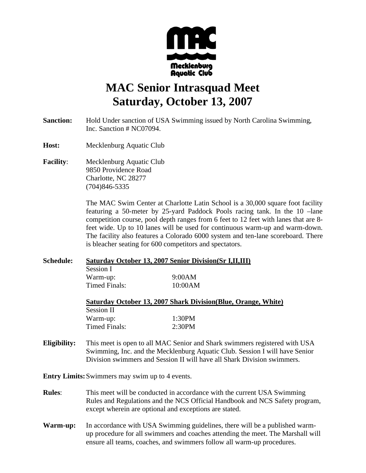

## **MAC Senior Intrasquad Meet Saturday, October 13, 2007**

- **Sanction:** Hold Under sanction of USA Swimming issued by North Carolina Swimming, Inc. Sanction # NC07094.
- **Host:** Mecklenburg Aquatic Club
- **Facility:** Mecklenburg Aquatic Club 9850 Providence Road Charlotte, NC 28277 (704)846-5335

 The MAC Swim Center at Charlotte Latin School is a 30,000 square foot facility featuring a 50-meter by 25-yard Paddock Pools racing tank. In the 10 –lane competition course, pool depth ranges from 6 feet to 12 feet with lanes that are 8 feet wide. Up to 10 lanes will be used for continuous warm-up and warm-down. The facility also features a Colorado 6000 system and ten-lane scoreboard. There is bleacher seating for 600 competitors and spectators.

| <b>Schedule:</b> | Saturday October 13, 2007 Senior Division (Sr I, II, III) |                                                                |  |
|------------------|-----------------------------------------------------------|----------------------------------------------------------------|--|
|                  | Session I                                                 |                                                                |  |
|                  | Warm-up:                                                  | 9:00AM                                                         |  |
|                  | Timed Finals:                                             | 10:00AM                                                        |  |
|                  |                                                           | Saturday October 13, 2007 Shark Division (Blue, Orange, White) |  |

| Session II    |        |
|---------------|--------|
| Warm-up:      | 1:30PM |
| Timed Finals: | 2:30PM |

**Eligibility:** This meet is open to all MAC Senior and Shark swimmers registered with USA Swimming, Inc. and the Mecklenburg Aquatic Club. Session I will have Senior Division swimmers and Session II will have all Shark Division swimmers.

**Entry Limits:** Swimmers may swim up to 4 events.

- **Rules**: This meet will be conducted in accordance with the current USA Swimming Rules and Regulations and the NCS Official Handbook and NCS Safety program, except wherein are optional and exceptions are stated.
- **Warm-up:** In accordance with USA Swimming guidelines, there will be a published warmup procedure for all swimmers and coaches attending the meet. The Marshall will ensure all teams, coaches, and swimmers follow all warm-up procedures.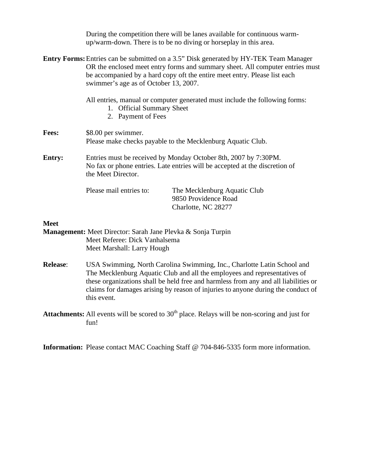During the competition there will be lanes available for continuous warmup/warm-down. There is to be no diving or horseplay in this area.

**Entry Forms:** Entries can be submitted on a 3.5" Disk generated by HY-TEK Team Manager OR the enclosed meet entry forms and summary sheet. All computer entries must be accompanied by a hard copy oft the entire meet entry. Please list each swimmer's age as of October 13, 2007.

All entries, manual or computer generated must include the following forms:

- 1. Official Summary Sheet
- 2. Payment of Fees

| <b>Fees:</b> | \$8.00 per swimmer.<br>Please make checks payable to the Mecklenburg Aquatic Club.                                                                                   |
|--------------|----------------------------------------------------------------------------------------------------------------------------------------------------------------------|
| Entry:       | Entries must be received by Monday October 8th, 2007 by 7:30PM.<br>No fax or phone entries. Late entries will be accepted at the discretion of<br>the Meet Director. |

Please mail entries to: The Mecklenburg Aquatic Club

 9850 Providence Road Charlotte, NC 28277

#### **Meet**

**Management:** Meet Director: Sarah Jane Plevka & Sonja Turpin Meet Referee: Dick Vanhalsema Meet Marshall: Larry Hough

- **Release**: USA Swimming, North Carolina Swimming, Inc., Charlotte Latin School and The Mecklenburg Aquatic Club and all the employees and representatives of these organizations shall be held free and harmless from any and all liabilities or claims for damages arising by reason of injuries to anyone during the conduct of this event.
- **Attachments:** All events will be scored to  $30<sup>th</sup>$  place. Relays will be non-scoring and just for fun!

**Information:** Please contact MAC Coaching Staff @ 704-846-5335 form more information.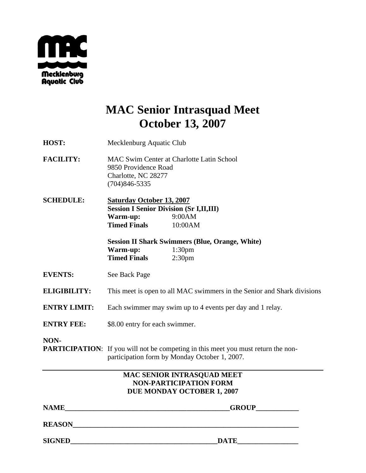

### **MAC Senior Intrasquad Meet October 13, 2007**

- **HOST:** Mecklenburg Aquatic Club
- **FACILITY:** MAC Swim Center at Charlotte Latin School 9850 Providence Road Charlotte, NC 28277 (704)846-5335
- **SCHEDULE: Saturday October 13, 2007 Session I Senior Division (Sr I,II,III) Warm-up:** 9:00AM **Timed Finals** 10:00AM

 **Session II Shark Swimmers (Blue, Orange, White) Warm-up:** 1:30pm **Timed Finals** 2:30pm

- **EVENTS:** See Back Page
- **ELIGIBILITY:** This meet is open to all MAC swimmers in the Senior and Shark divisions
- **ENTRY LIMIT:** Each swimmer may swim up to 4 events per day and 1 relay.
- **ENTRY FEE:** \$8.00 entry for each swimmer.
- **NON-**

**PARTICIPATION:** If you will not be competing in this meet you must return the nonparticipation form by Monday October 1, 2007.

#### **MAC SENIOR INTRASQUAD MEET NON-PARTICIPATION FORM DUE MONDAY OCTOBER 1, 2007**

| <b>NAME</b>   | <b>GROUP</b> |  |
|---------------|--------------|--|
| <b>REASON</b> |              |  |
| <b>SIGNED</b> | <b>DATE</b>  |  |